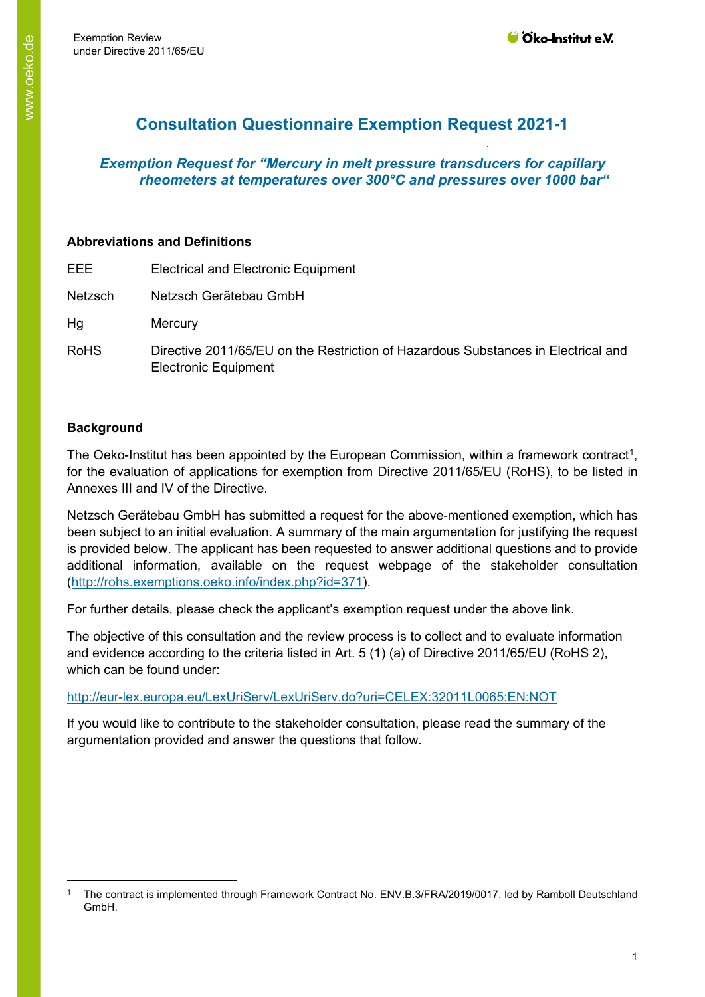# **Consultation Questionnaire Exemption Request 2021-1**

# *Exemption Request for "Mercury in melt pressure transducers for capillary rheometers at temperatures over 300°C and pressures over 1000 bar"*

#### **Abbreviations and Definitions**

| EEE.           | <b>Electrical and Electronic Equipment</b>                                                                       |
|----------------|------------------------------------------------------------------------------------------------------------------|
| <b>Netzsch</b> | Netzsch Gerätebau GmbH                                                                                           |
| Hg             | Mercury                                                                                                          |
| <b>RoHS</b>    | Directive 2011/65/EU on the Restriction of Hazardous Substances in Electrical and<br><b>Electronic Equipment</b> |

# **Background**

The Oeko-Institut has been appointed by the European Commission, within a framework contract<sup>[1](#page-0-0)</sup>, for the evaluation of applications for exemption from Directive 2011/65/EU (RoHS), to be listed in Annexes III and IV of the Directive.

Netzsch Gerätebau GmbH has submitted a request for the above-mentioned exemption, which has been subject to an initial evaluation. A summary of the main argumentation for justifying the request is provided below. The applicant has been requested to answer additional questions and to provide additional information, available on the request webpage of the stakeholder consultation [\(http://rohs.exemptions.oeko.info/index.php?id=371\)](http://rohs.exemptions.oeko.info/index.php?id=371).

For further details, please check the applicant's exemption request under the above link.

The objective of this consultation and the review process is to collect and to evaluate information and evidence according to the criteria listed in Art. 5 (1) (a) of Directive 2011/65/EU (RoHS 2), which can be found under:

#### <http://eur-lex.europa.eu/LexUriServ/LexUriServ.do?uri=CELEX:32011L0065:EN:NOT>

If you would like to contribute to the stakeholder consultation, please read the summary of the argumentation provided and answer the questions that follow.

<span id="page-0-0"></span><sup>1</sup> The contract is implemented through Framework Contract No. ENV.B.3/FRA/2019/0017, led by Ramboll Deutschland GmbH.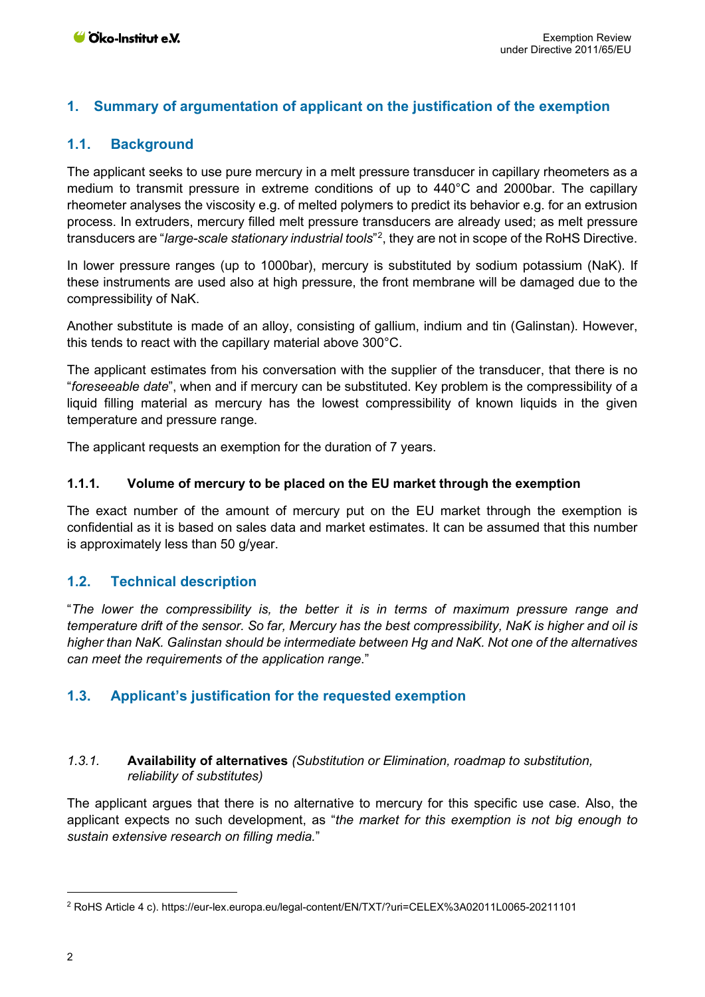# **1. Summary of argumentation of applicant on the justification of the exemption**

# **1.1. Background**

The applicant seeks to use pure mercury in a melt pressure transducer in capillary rheometers as a medium to transmit pressure in extreme conditions of up to 440°C and 2000bar. The capillary rheometer analyses the viscosity e.g. of melted polymers to predict its behavior e.g. for an extrusion process. In extruders, mercury filled melt pressure transducers are already used; as melt pressure transducers are "*large-scale stationary industrial tools*"[2](#page-1-0) , they are not in scope of the RoHS Directive.

In lower pressure ranges (up to 1000bar), mercury is substituted by sodium potassium (NaK). If these instruments are used also at high pressure, the front membrane will be damaged due to the compressibility of NaK.

Another substitute is made of an alloy, consisting of gallium, indium and tin (Galinstan). However, this tends to react with the capillary material above 300°C.

The applicant estimates from his conversation with the supplier of the transducer, that there is no "*foreseeable date*", when and if mercury can be substituted. Key problem is the compressibility of a liquid filling material as mercury has the lowest compressibility of known liquids in the given temperature and pressure range.

The applicant requests an exemption for the duration of 7 years.

#### **1.1.1. Volume of mercury to be placed on the EU market through the exemption**

The exact number of the amount of mercury put on the EU market through the exemption is confidential as it is based on sales data and market estimates. It can be assumed that this number is approximately less than 50 g/year.

# **1.2. Technical description**

"*The lower the compressibility is, the better it is in terms of maximum pressure range and temperature drift of the sensor. So far, Mercury has the best compressibility, NaK is higher and oil is higher than NaK. Galinstan should be intermediate between Hg and NaK. Not one of the alternatives can meet the requirements of the application range*."

# **1.3. Applicant's justification for the requested exemption**

#### *1.3.1.* **Availability of alternatives** *(Substitution or Elimination, roadmap to substitution, reliability of substitutes)*

The applicant argues that there is no alternative to mercury for this specific use case. Also, the applicant expects no such development, as "*the market for this exemption is not big enough to sustain extensive research on filling media.*"

<span id="page-1-0"></span><sup>2</sup> RoHS Article 4 c). https://eur-lex.europa.eu/legal-content/EN/TXT/?uri=CELEX%3A02011L0065-20211101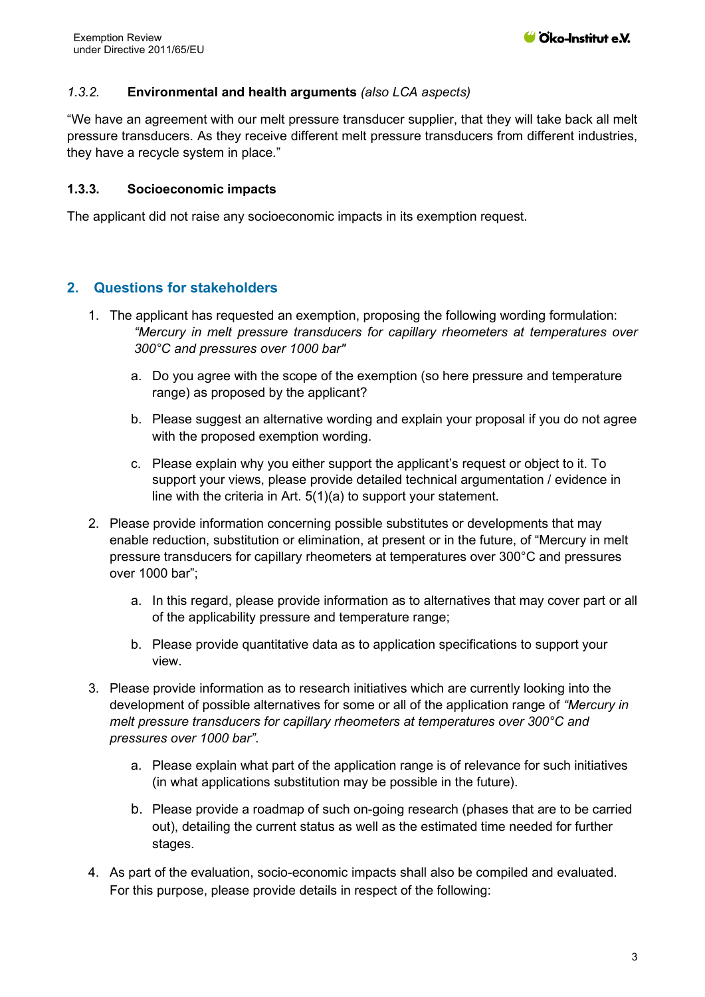### *1.3.2.* **Environmental and health arguments** *(also LCA aspects)*

"We have an agreement with our melt pressure transducer supplier, that they will take back all melt pressure transducers. As they receive different melt pressure transducers from different industries, they have a recycle system in place."

#### **1.3.3. Socioeconomic impacts**

The applicant did not raise any socioeconomic impacts in its exemption request.

# **2. Questions for stakeholders**

- 1. The applicant has requested an exemption, proposing the following wording formulation: *"Mercury in melt pressure transducers for capillary rheometers at temperatures over 300°C and pressures over 1000 bar"*
	- a. Do you agree with the scope of the exemption (so here pressure and temperature range) as proposed by the applicant?
	- b. Please suggest an alternative wording and explain your proposal if you do not agree with the proposed exemption wording.
	- c. Please explain why you either support the applicant's request or object to it. To support your views, please provide detailed technical argumentation / evidence in line with the criteria in Art. 5(1)(a) to support your statement.
- 2. Please provide information concerning possible substitutes or developments that may enable reduction, substitution or elimination, at present or in the future, of "Mercury in melt pressure transducers for capillary rheometers at temperatures over 300°C and pressures over 1000 bar";
	- a. In this regard, please provide information as to alternatives that may cover part or all of the applicability pressure and temperature range;
	- b. Please provide quantitative data as to application specifications to support your view.
- 3. Please provide information as to research initiatives which are currently looking into the development of possible alternatives for some or all of the application range of *"Mercury in melt pressure transducers for capillary rheometers at temperatures over 300°C and pressures over 1000 bar"*.
	- a. Please explain what part of the application range is of relevance for such initiatives (in what applications substitution may be possible in the future).
	- b. Please provide a roadmap of such on-going research (phases that are to be carried out), detailing the current status as well as the estimated time needed for further stages.
- 4. As part of the evaluation, socio-economic impacts shall also be compiled and evaluated. For this purpose, please provide details in respect of the following: